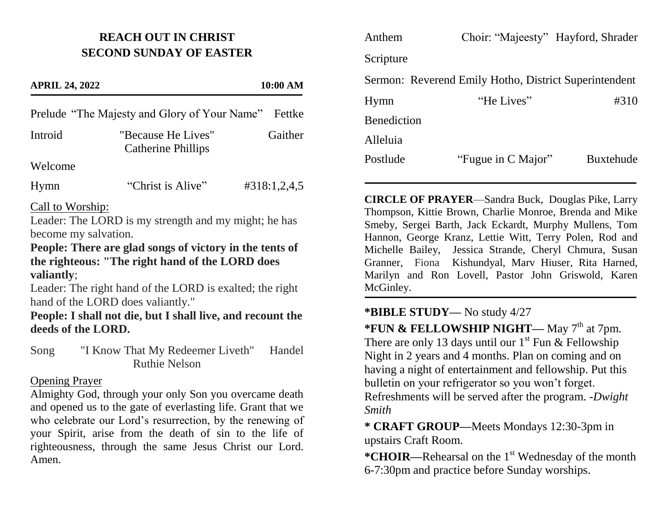### **REACH OUT IN CHRIST SECOND SUNDAY OF EASTER**

# **APRIL 24, 2022 10:00 AM** Prelude "The Majesty and Glory of Your Name" Fettke Introid "Because He Lives" Gaither Catherine Phillips Welcome Hymn "Christ is Alive" #318:1,2,4,5

#### Call to Worship:

Leader: The LORD is my strength and my might; he has become my salvation.

#### **People: There are glad songs of victory in the tents of the righteous: "The right hand of the LORD does valiantly**;

Leader: The right hand of the LORD is exalted; the right hand of the LORD does valiantly."

#### **People: I shall not die, but I shall live, and recount the deeds of the LORD.**

Song "I Know That My Redeemer Liveth" Handel Ruthie Nelson

#### Opening Prayer

Almighty God, through your only Son you overcame death and opened us to the gate of everlasting life. Grant that we who celebrate our Lord's resurrection, by the renewing of your Spirit, arise from the death of sin to the life of righteousness, through the same Jesus Christ our Lord. Amen.

| Anthem                                                | Choir: "Majeesty" Hayford, Shrader |                  |
|-------------------------------------------------------|------------------------------------|------------------|
| Scripture                                             |                                    |                  |
| Sermon: Reverend Emily Hotho, District Superintendent |                                    |                  |
| Hymn                                                  | "He Lives"                         | #310             |
| <b>Benediction</b>                                    |                                    |                  |
| Alleluia                                              |                                    |                  |
| Postlude                                              | "Fugue in C Major"                 | <b>Buxtehude</b> |

**CIRCLE OF PRAYER**—Sandra Buck, Douglas Pike, Larry Thompson, Kittie Brown, Charlie Monroe, Brenda and Mike Smeby, Sergei Barth, Jack Eckardt, Murphy Mullens, Tom Hannon, George Kranz, Lettie Witt, Terry Polen, Rod and Michelle Bailey, Jessica Strande, Cheryl Chmura, Susan Granner, Fiona Kishundyal, Marv Hiuser, Rita Harned, Marilyn and Ron Lovell, Pastor John Griswold, Karen McGinley.

## **\*BIBLE STUDY—** No study 4/27

\***FUN & FELLOWSHIP NIGHT—** May 7<sup>th</sup> at 7pm. There are only 13 days until our  $1^{st}$  Fun & Fellowship Night in 2 years and 4 months. Plan on coming and on having a night of entertainment and fellowship. Put this bulletin on your refrigerator so you won't forget.

Refreshments will be served after the program. *-Dwight Smith*

**\* CRAFT GROUP—**Meets Mondays 12:30-3pm in upstairs Craft Room.

\***CHOIR—**Rehearsal on the 1<sup>st</sup> Wednesday of the month 6-7:30pm and practice before Sunday worships.